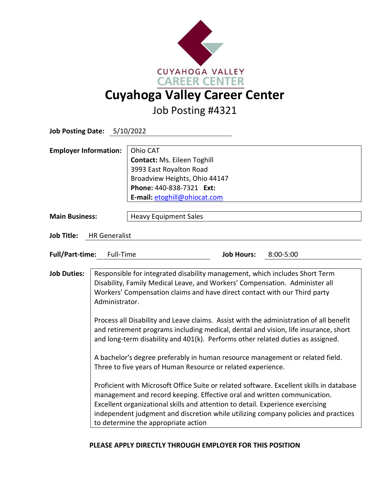

Job Posting #4321

| Job Posting Date: 5/10/2022               |                                                                                                                                                                                                                                                                                                                                                                                                                                                                                                                                                                                                                                                                                                                                                                                                                                                                                                                                                                                                                                                                       |                                                                                                                                                                 |                   |               |
|-------------------------------------------|-----------------------------------------------------------------------------------------------------------------------------------------------------------------------------------------------------------------------------------------------------------------------------------------------------------------------------------------------------------------------------------------------------------------------------------------------------------------------------------------------------------------------------------------------------------------------------------------------------------------------------------------------------------------------------------------------------------------------------------------------------------------------------------------------------------------------------------------------------------------------------------------------------------------------------------------------------------------------------------------------------------------------------------------------------------------------|-----------------------------------------------------------------------------------------------------------------------------------------------------------------|-------------------|---------------|
| <b>Employer Information:</b>              |                                                                                                                                                                                                                                                                                                                                                                                                                                                                                                                                                                                                                                                                                                                                                                                                                                                                                                                                                                                                                                                                       | Ohio CAT<br>Contact: Ms. Eileen Toghill<br>3993 East Royalton Road<br>Broadview Heights, Ohio 44147<br>Phone: 440-838-7321 Ext:<br>E-mail: etoghill@ohiocat.com |                   |               |
| <b>Main Business:</b>                     |                                                                                                                                                                                                                                                                                                                                                                                                                                                                                                                                                                                                                                                                                                                                                                                                                                                                                                                                                                                                                                                                       | <b>Heavy Equipment Sales</b>                                                                                                                                    |                   |               |
| <b>Job Title:</b><br><b>HR</b> Generalist |                                                                                                                                                                                                                                                                                                                                                                                                                                                                                                                                                                                                                                                                                                                                                                                                                                                                                                                                                                                                                                                                       |                                                                                                                                                                 |                   |               |
| <b>Full/Part-time:</b><br>Full-Time       |                                                                                                                                                                                                                                                                                                                                                                                                                                                                                                                                                                                                                                                                                                                                                                                                                                                                                                                                                                                                                                                                       |                                                                                                                                                                 | <b>Job Hours:</b> | $8:00 - 5:00$ |
| <b>Job Duties:</b>                        | Responsible for integrated disability management, which includes Short Term<br>Disability, Family Medical Leave, and Workers' Compensation. Administer all<br>Workers' Compensation claims and have direct contact with our Third party<br>Administrator.<br>Process all Disability and Leave claims. Assist with the administration of all benefit<br>and retirement programs including medical, dental and vision, life insurance, short<br>and long-term disability and 401(k). Performs other related duties as assigned.<br>A bachelor's degree preferably in human resource management or related field.<br>Three to five years of Human Resource or related experience.<br>Proficient with Microsoft Office Suite or related software. Excellent skills in database<br>management and record keeping. Effective oral and written communication.<br>Excellent organizational skills and attention to detail. Experience exercising<br>independent judgment and discretion while utilizing company policies and practices<br>to determine the appropriate action |                                                                                                                                                                 |                   |               |

## **PLEASE APPLY DIRECTLY THROUGH EMPLOYER FOR THIS POSITION**